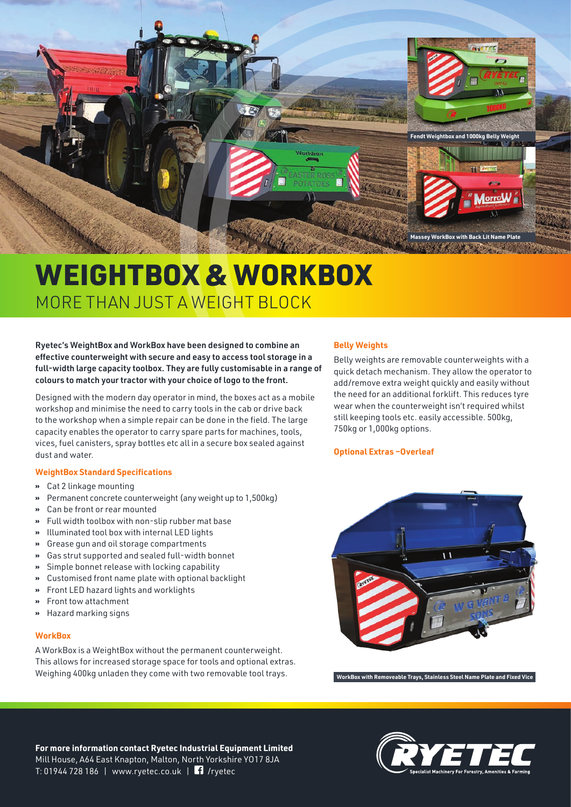

# WEIGHTBOX & WORKBOX MORE THAN JUST A WEIGHT BLOCK

# Ryetec's WeightBox and WorkBox have been designed to combine an effective counterweight with secure and easy to access tool storage in a full-width large capacity toolbox. They are fully customisable in a range of colours to match your tractor with your choice of logo to the front.

Designed with the modern day operator in mind, the boxes act as a mobile workshop and minimise the need to carry tools in the cab or drive back to the workshop when a simple repair can be done in the field. The large capacity enables the operator to carry spare parts for machines, tools, vices, fuel canisters, spray bottles etc all in a secure box sealed against dust and water.

# **WeightBox Standard Specifications**

- **»** Cat 2 linkage mounting
- **»** Permanent concrete counterweight (any weight up to 1,500kg)
- **»** Can be front or rear mounted
- **»** Full width toolbox with non-slip rubber mat base
- **»** Illuminated tool box with internal LED lights
- **»** Grease gun and oil storage compartments
- **»** Gas strut supported and sealed full-width bonnet
- **»** Simple bonnet release with locking capability
- **»** Customised front name plate with optional backlight
- **»** Front LED hazard lights and worklights
- **»** Front tow attachment
- **»** Hazard marking signs

#### **WorkBox**

A WorkBox is a WeightBox without the permanent counterweight. This allows for increased storage space for tools and optional extras. Weighing 400kg unladen they come with two removable tool trays.

# **Belly Weights**

Belly weights are removable counterweights with a quick detach mechanism. They allow the operator to add/remove extra weight quickly and easily without the need for an additional forklift. This reduces tyre wear when the counterweight isn't required whilst still keeping tools etc. easily accessible. 500kg, 750kg or 1,000kg options.

#### **Optional Extras –Overleaf**



**WorkBox with Removeable Trays, Stainless Steel Name Plate and Fixed Vice**

**For more information contact Ryetec Industrial Equipment Limited** Mill House, A64 East Knapton, Malton, North Yorkshire YO17 8JA T: 01944 728 186 | www.ryetec.co.uk | /ryetec